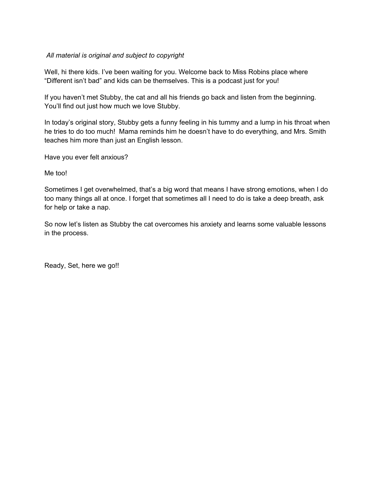## *All material is original and subject to copyright*

Well, hi there kids. I've been waiting for you. Welcome back to Miss Robins place where "Different isn't bad" and kids can be themselves. This is a podcast just for you!

If you haven't met Stubby, the cat and all his friends go back and listen from the beginning. You'll find out just how much we love Stubby.

In today's original story, Stubby gets a funny feeling in his tummy and a lump in his throat when he tries to do too much! Mama reminds him he doesn't have to do everything, and Mrs. Smith teaches him more than just an English lesson.

Have you ever felt anxious?

Me too!

Sometimes I get overwhelmed, that's a big word that means I have strong emotions, when I do too many things all at once. I forget that sometimes all I need to do is take a deep breath, ask for help or take a nap.

So now let's listen as Stubby the cat overcomes his anxiety and learns some valuable lessons in the process.

Ready, Set, here we go!!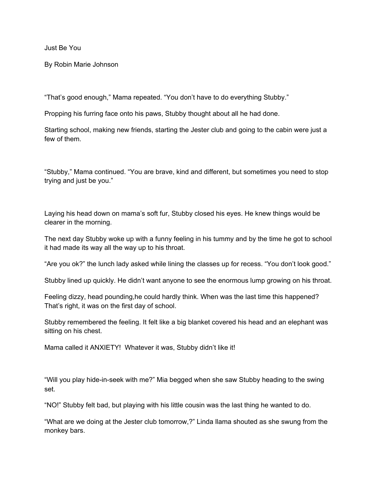Just Be You

By Robin Marie Johnson

"That's good enough," Mama repeated. "You don't have to do everything Stubby."

Propping his furring face onto his paws, Stubby thought about all he had done.

Starting school, making new friends, starting the Jester club and going to the cabin were just a few of them.

"Stubby," Mama continued. "You are brave, kind and different, but sometimes you need to stop trying and just be you."

Laying his head down on mama's soft fur, Stubby closed his eyes. He knew things would be clearer in the morning.

The next day Stubby woke up with a funny feeling in his tummy and by the time he got to school it had made its way all the way up to his throat.

"Are you ok?" the lunch lady asked while lining the classes up for recess. "You don't look good."

Stubby lined up quickly. He didn't want anyone to see the enormous lump growing on his throat.

Feeling dizzy, head pounding,he could hardly think. When was the last time this happened? That's right, it was on the first day of school.

Stubby remembered the feeling. It felt like a big blanket covered his head and an elephant was sitting on his chest.

Mama called it ANXIETY! Whatever it was, Stubby didn't like it!

"Will you play hide-in-seek with me?" Mia begged when she saw Stubby heading to the swing set.

"NO!" Stubby felt bad, but playing with his little cousin was the last thing he wanted to do.

"What are we doing at the Jester club tomorrow,?" Linda llama shouted as she swung from the monkey bars.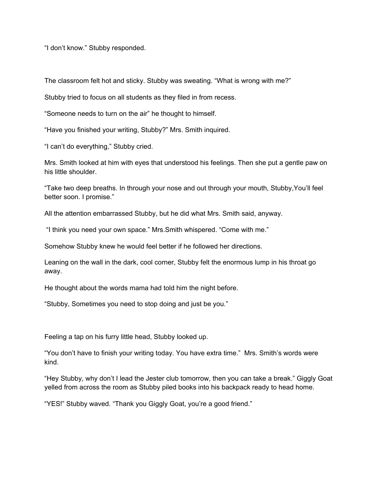"I don't know." Stubby responded.

The classroom felt hot and sticky. Stubby was sweating. "What is wrong with me?"

Stubby tried to focus on all students as they filed in from recess.

"Someone needs to turn on the air" he thought to himself.

"Have you finished your writing, Stubby?" Mrs. Smith inquired.

"I can't do everything," Stubby cried.

Mrs. Smith looked at him with eyes that understood his feelings. Then she put a gentle paw on his little shoulder.

"Take two deep breaths. In through your nose and out through your mouth, Stubby,You'll feel better soon. I promise."

All the attention embarrassed Stubby, but he did what Mrs. Smith said, anyway.

"I think you need your own space." Mrs.Smith whispered. "Come with me."

Somehow Stubby knew he would feel better if he followed her directions.

Leaning on the wall in the dark, cool corner, Stubby felt the enormous lump in his throat go away.

He thought about the words mama had told him the night before.

"Stubby, Sometimes you need to stop doing and just be you."

Feeling a tap on his furry little head, Stubby looked up.

"You don't have to finish your writing today. You have extra time." Mrs. Smith's words were kind.

"Hey Stubby, why don't I lead the Jester club tomorrow, then you can take a break." Giggly Goat yelled from across the room as Stubby piled books into his backpack ready to head home.

"YES!" Stubby waved. "Thank you Giggly Goat, you're a good friend."